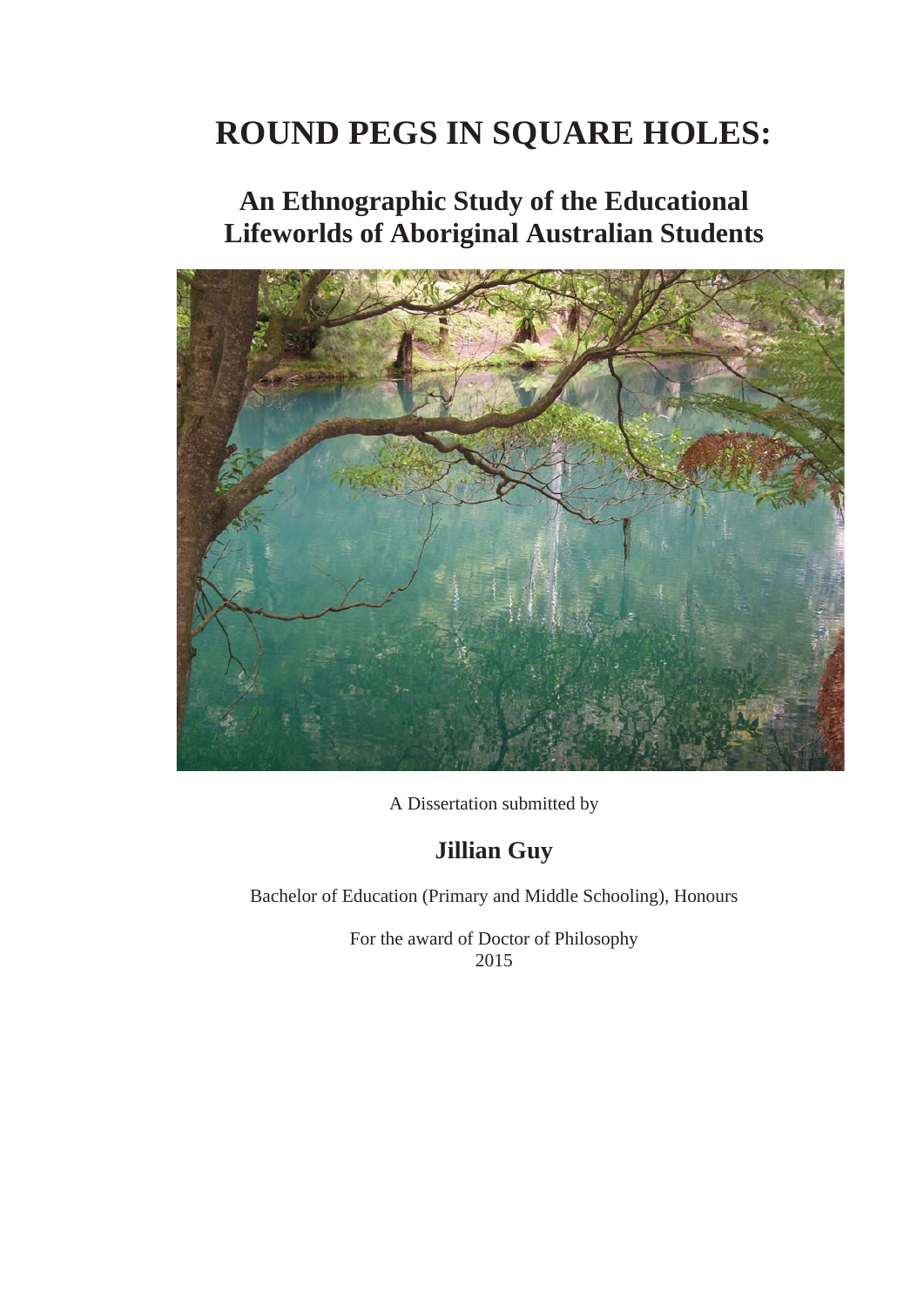# **ROUND PEGS IN SQUARE HOLES:**

# **An Ethnographic Study of the Educational Lifeworlds of Aboriginal Australian Students**



A Dissertation submitted by

# **Jillian Guy**

Bachelor of Education (Primary and Middle Schooling), Honours

For the award of Doctor of Philosophy 2015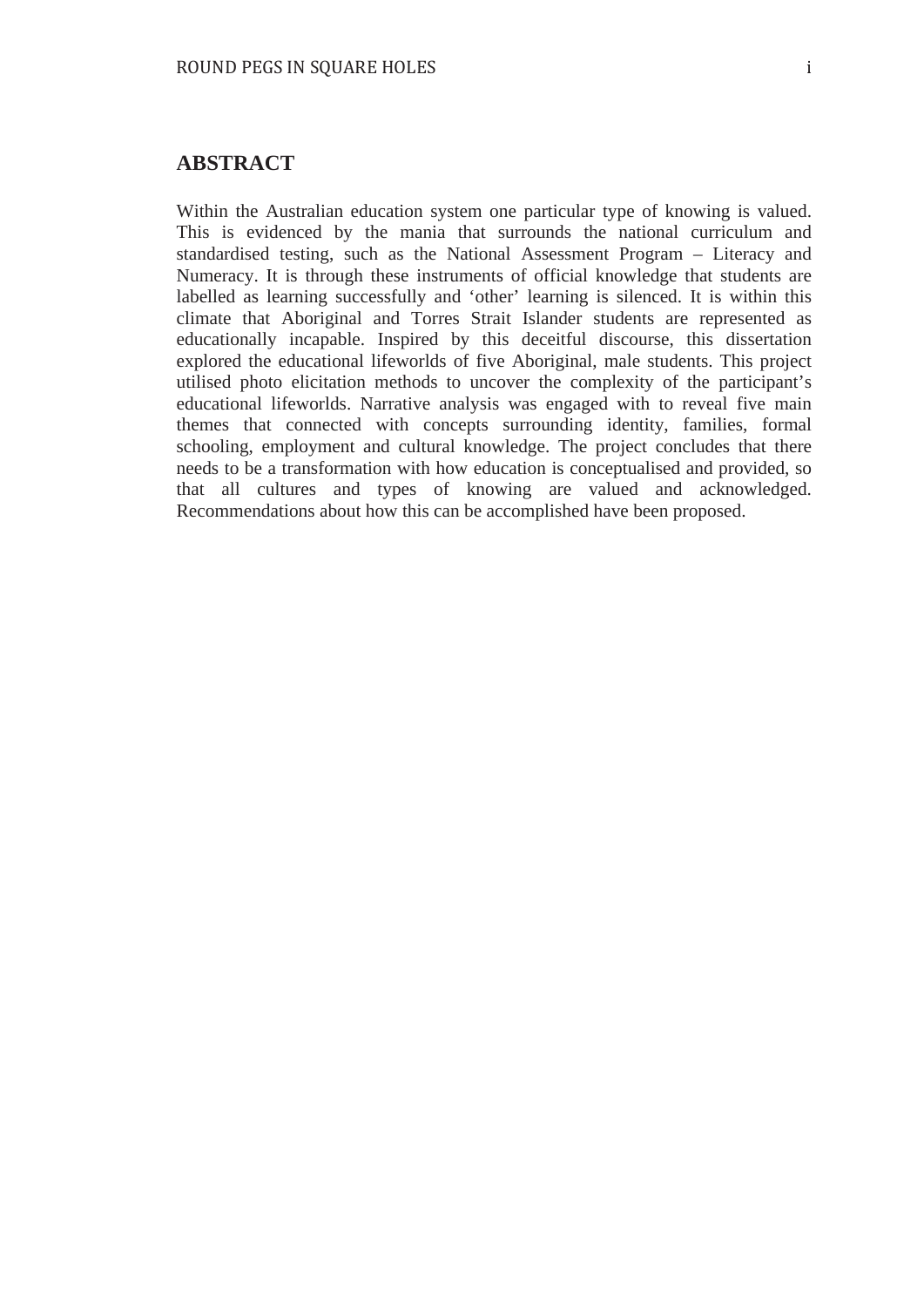#### **ABSTRACT**

Within the Australian education system one particular type of knowing is valued. This is evidenced by the mania that surrounds the national curriculum and standardised testing, such as the National Assessment Program – Literacy and Numeracy. It is through these instruments of official knowledge that students are labelled as learning successfully and 'other' learning is silenced. It is within this climate that Aboriginal and Torres Strait Islander students are represented as educationally incapable. Inspired by this deceitful discourse, this dissertation explored the educational lifeworlds of five Aboriginal, male students. This project utilised photo elicitation methods to uncover the complexity of the participant's educational lifeworlds. Narrative analysis was engaged with to reveal five main themes that connected with concepts surrounding identity, families, formal schooling, employment and cultural knowledge. The project concludes that there needs to be a transformation with how education is conceptualised and provided, so that all cultures and types of knowing are valued and acknowledged. Recommendations about how this can be accomplished have been proposed.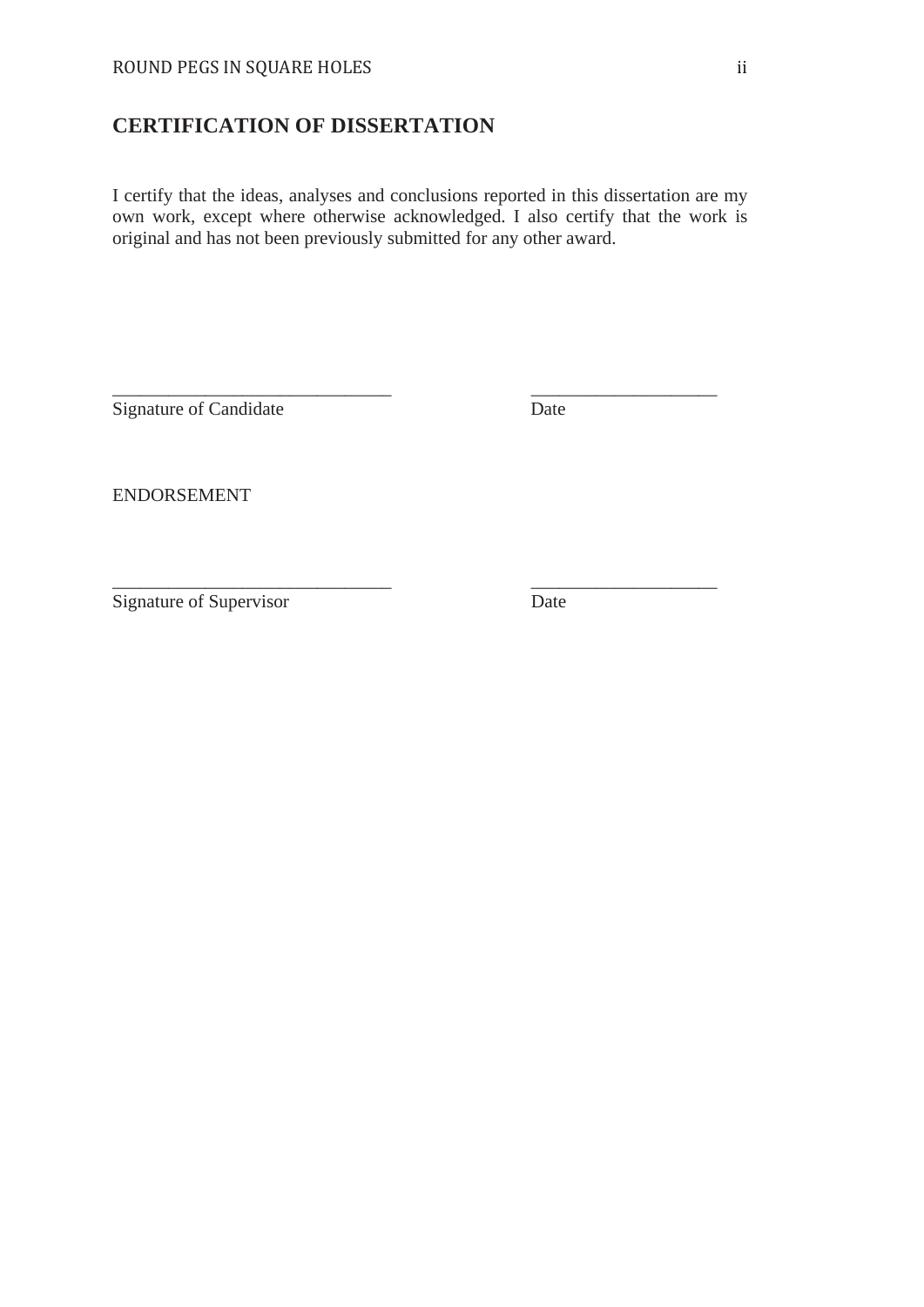### **CERTIFICATION OF DISSERTATION**

I certify that the ideas, analyses and conclusions reported in this dissertation are my own work, except where otherwise acknowledged. I also certify that the work is original and has not been previously submitted for any other award.

\_\_\_\_\_\_\_\_\_\_\_\_\_\_\_\_\_\_\_\_\_\_\_\_\_\_\_\_\_\_ \_\_\_\_\_\_\_\_\_\_\_\_\_\_\_\_\_\_\_\_

\_\_\_\_\_\_\_\_\_\_\_\_\_\_\_\_\_\_\_\_\_\_\_\_\_\_\_\_\_\_ \_\_\_\_\_\_\_\_\_\_\_\_\_\_\_\_\_\_\_\_

Signature of Candidate Date

ENDORSEMENT

Signature of Supervisor Date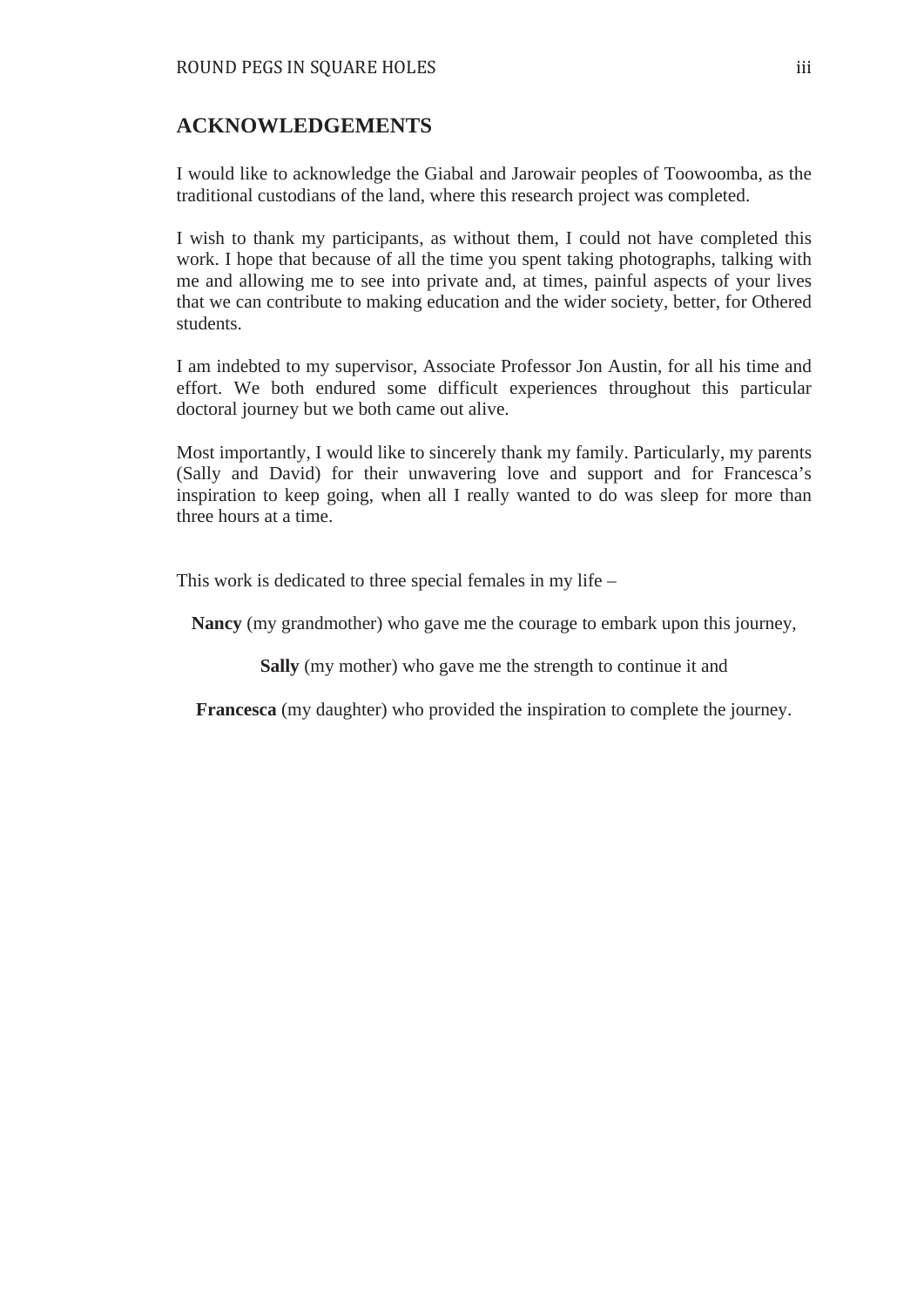#### **ACKNOWLEDGEMENTS**

I would like to acknowledge the Giabal and Jarowair peoples of Toowoomba, as the traditional custodians of the land, where this research project was completed.

I wish to thank my participants, as without them, I could not have completed this work. I hope that because of all the time you spent taking photographs, talking with me and allowing me to see into private and, at times, painful aspects of your lives that we can contribute to making education and the wider society, better, for Othered students.

I am indebted to my supervisor, Associate Professor Jon Austin, for all his time and effort. We both endured some difficult experiences throughout this particular doctoral journey but we both came out alive.

Most importantly, I would like to sincerely thank my family. Particularly, my parents (Sally and David) for their unwavering love and support and for Francesca's inspiration to keep going, when all I really wanted to do was sleep for more than three hours at a time.

This work is dedicated to three special females in my life –

**Nancy** (my grandmother) who gave me the courage to embark upon this journey,

**Sally** (my mother) who gave me the strength to continue it and

**Francesca** (my daughter) who provided the inspiration to complete the journey.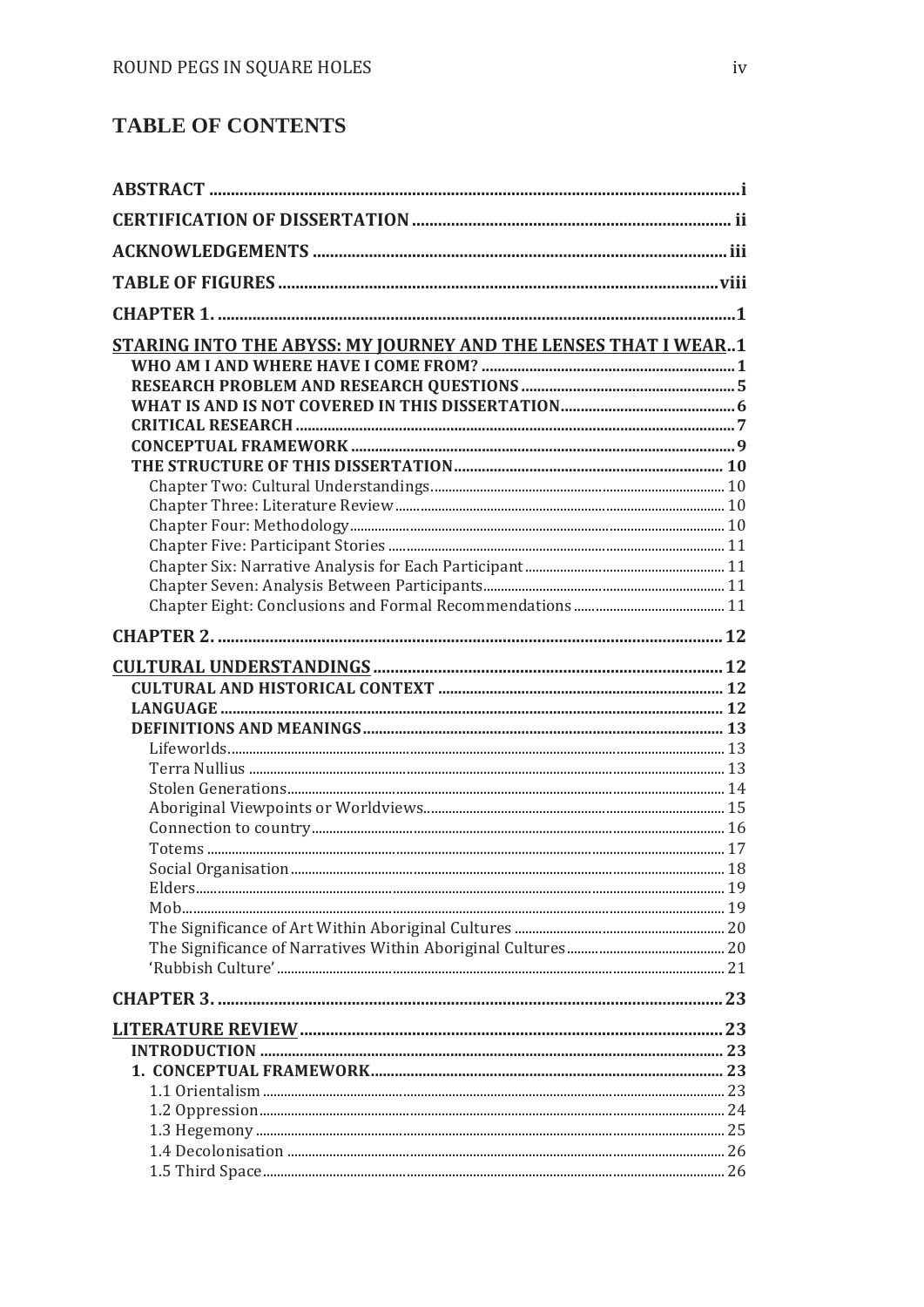## **TABLE OF CONTENTS**

| STARING INTO THE ABYSS: MY JOURNEY AND THE LENSES THAT I WEAR1 |  |
|----------------------------------------------------------------|--|
|                                                                |  |
|                                                                |  |
|                                                                |  |
|                                                                |  |
|                                                                |  |
|                                                                |  |
|                                                                |  |
|                                                                |  |
|                                                                |  |
|                                                                |  |
|                                                                |  |
|                                                                |  |
|                                                                |  |
|                                                                |  |
|                                                                |  |
|                                                                |  |
|                                                                |  |
|                                                                |  |
|                                                                |  |
|                                                                |  |
|                                                                |  |
|                                                                |  |
|                                                                |  |
| Social Organisation                                            |  |
|                                                                |  |
|                                                                |  |
|                                                                |  |
|                                                                |  |
|                                                                |  |
|                                                                |  |
|                                                                |  |
|                                                                |  |
|                                                                |  |
|                                                                |  |
|                                                                |  |
|                                                                |  |
|                                                                |  |
|                                                                |  |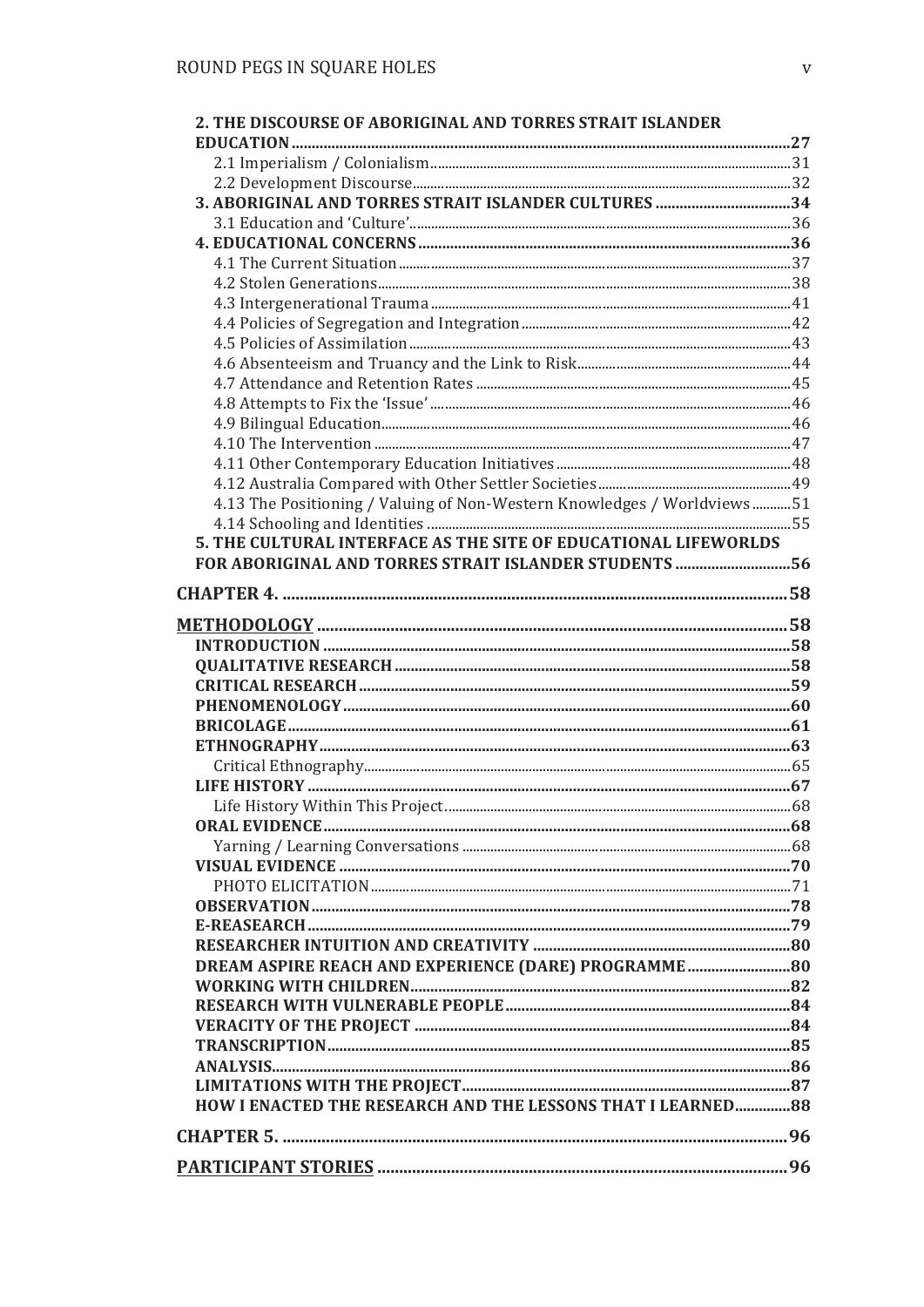| 2. THE DISCOURSE OF ABORIGINAL AND TORRES STRAIT ISLANDER               |  |
|-------------------------------------------------------------------------|--|
|                                                                         |  |
|                                                                         |  |
|                                                                         |  |
|                                                                         |  |
|                                                                         |  |
|                                                                         |  |
|                                                                         |  |
|                                                                         |  |
|                                                                         |  |
|                                                                         |  |
|                                                                         |  |
|                                                                         |  |
|                                                                         |  |
|                                                                         |  |
|                                                                         |  |
|                                                                         |  |
|                                                                         |  |
| 4.13 The Positioning / Valuing of Non-Western Knowledges / Worldviews51 |  |
|                                                                         |  |
| 5. THE CULTURAL INTERFACE AS THE SITE OF EDUCATIONAL LIFEWORLDS         |  |
| FOR ABORIGINAL AND TORRES STRAIT ISLANDER STUDENTS 56                   |  |
|                                                                         |  |
|                                                                         |  |
|                                                                         |  |
|                                                                         |  |
|                                                                         |  |
|                                                                         |  |
|                                                                         |  |
|                                                                         |  |
|                                                                         |  |
|                                                                         |  |
|                                                                         |  |
|                                                                         |  |
|                                                                         |  |
|                                                                         |  |
|                                                                         |  |
|                                                                         |  |
|                                                                         |  |
| DREAM ASPIRE REACH AND EXPERIENCE (DARE) PROGRAMME 80                   |  |
|                                                                         |  |
|                                                                         |  |
|                                                                         |  |
|                                                                         |  |
|                                                                         |  |
|                                                                         |  |
| HOW I ENACTED THE RESEARCH AND THE LESSONS THAT I LEARNED 88            |  |
|                                                                         |  |
|                                                                         |  |
|                                                                         |  |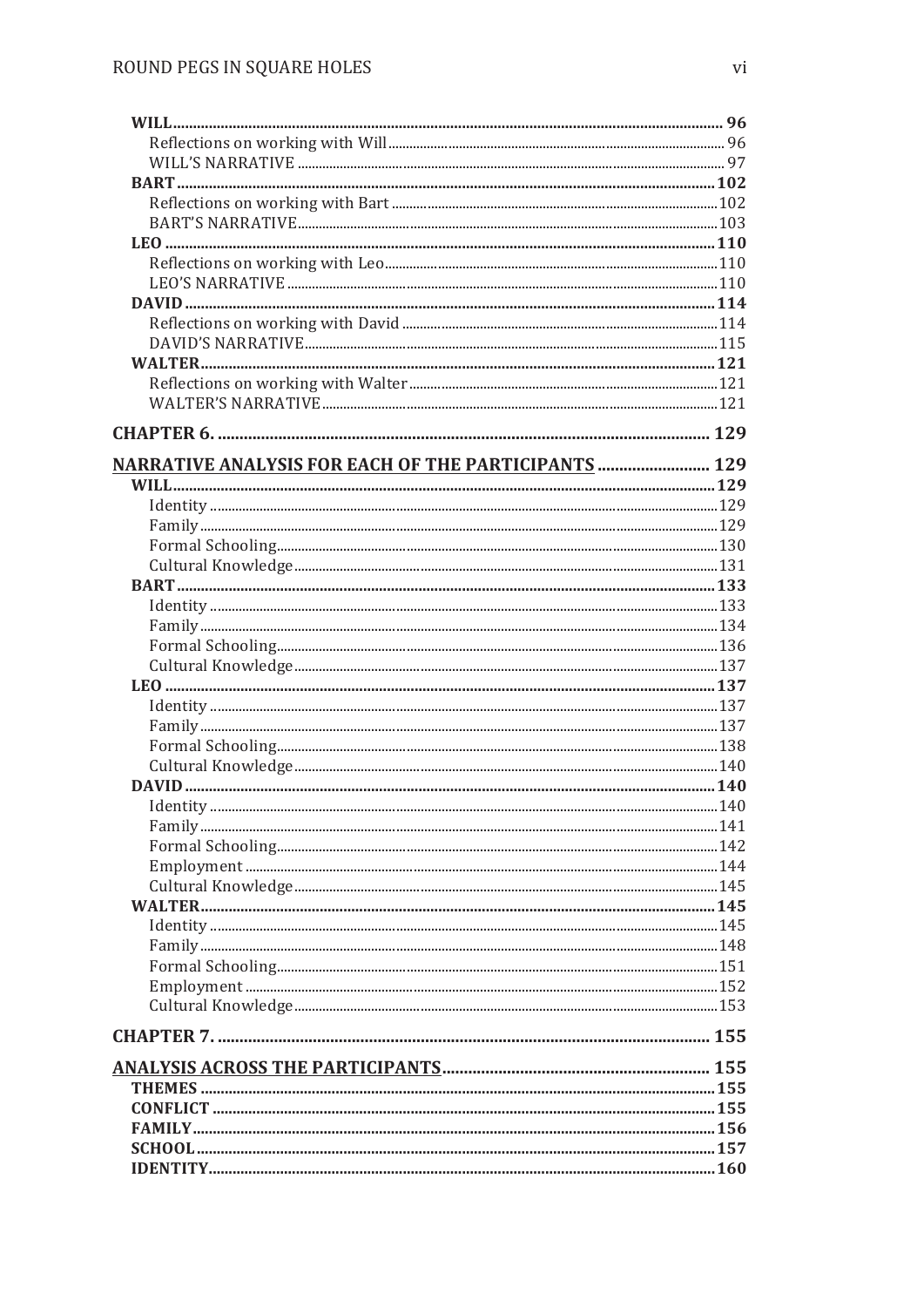| <b>NARRATIVE ANALYSIS FOR EACH OF THE PARTICIPANTS  129</b> |  |
|-------------------------------------------------------------|--|
|                                                             |  |
|                                                             |  |
|                                                             |  |
|                                                             |  |
|                                                             |  |
|                                                             |  |
|                                                             |  |
|                                                             |  |
|                                                             |  |
|                                                             |  |
|                                                             |  |
|                                                             |  |
|                                                             |  |
|                                                             |  |
|                                                             |  |
|                                                             |  |
|                                                             |  |
|                                                             |  |
|                                                             |  |
|                                                             |  |
|                                                             |  |
|                                                             |  |
|                                                             |  |
|                                                             |  |
|                                                             |  |
|                                                             |  |
|                                                             |  |
|                                                             |  |
|                                                             |  |
|                                                             |  |
|                                                             |  |
|                                                             |  |
|                                                             |  |
|                                                             |  |
|                                                             |  |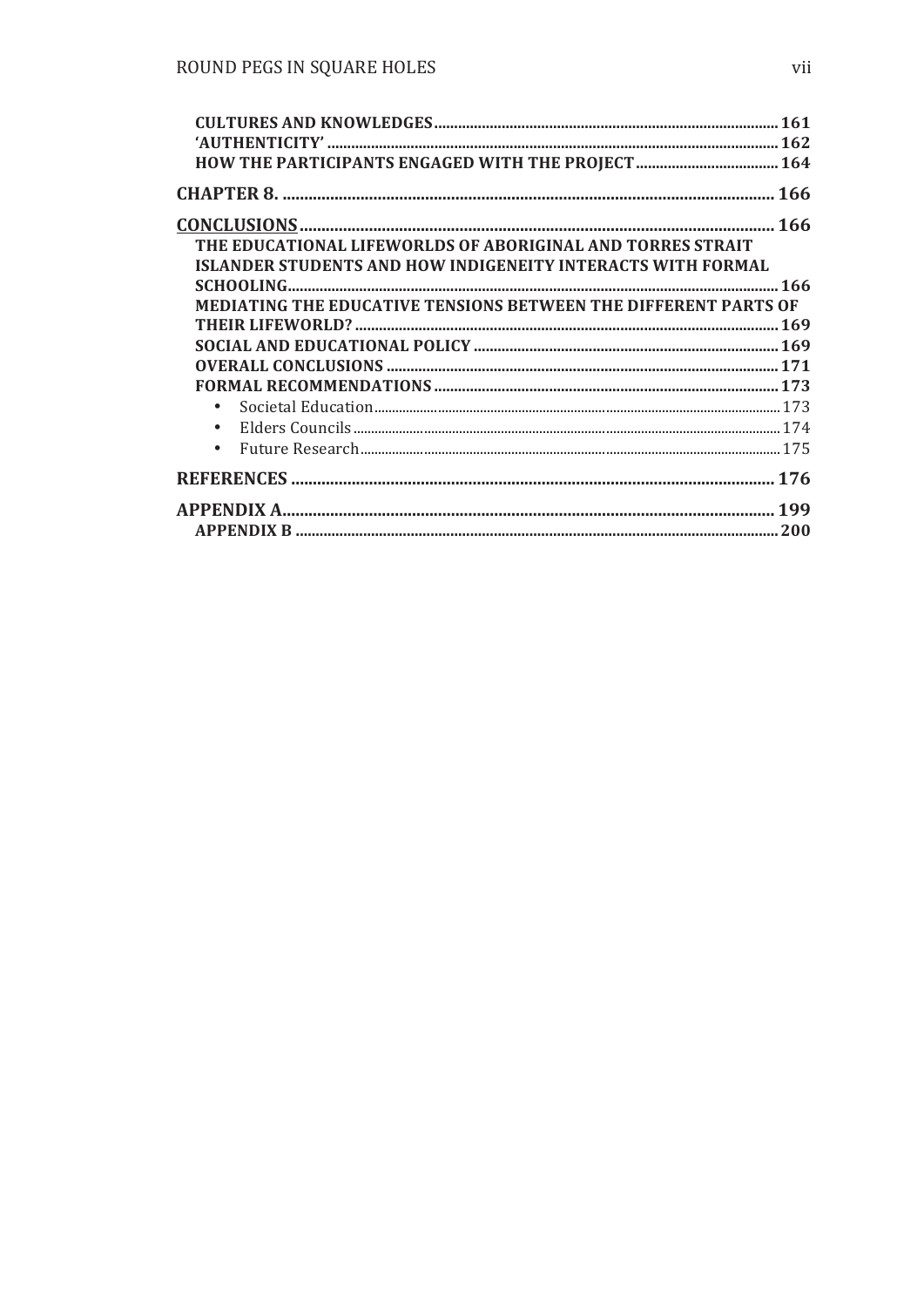| THE EDUCATIONAL LIFEWORLDS OF ABORIGINAL AND TORRES STRAIT             |  |
|------------------------------------------------------------------------|--|
| <b>ISLANDER STUDENTS AND HOW INDIGENEITY INTERACTS WITH FORMAL</b>     |  |
|                                                                        |  |
| <b>MEDIATING THE EDUCATIVE TENSIONS BETWEEN THE DIFFERENT PARTS OF</b> |  |
|                                                                        |  |
|                                                                        |  |
|                                                                        |  |
|                                                                        |  |
|                                                                        |  |
|                                                                        |  |
| $\bullet$                                                              |  |
|                                                                        |  |
|                                                                        |  |
|                                                                        |  |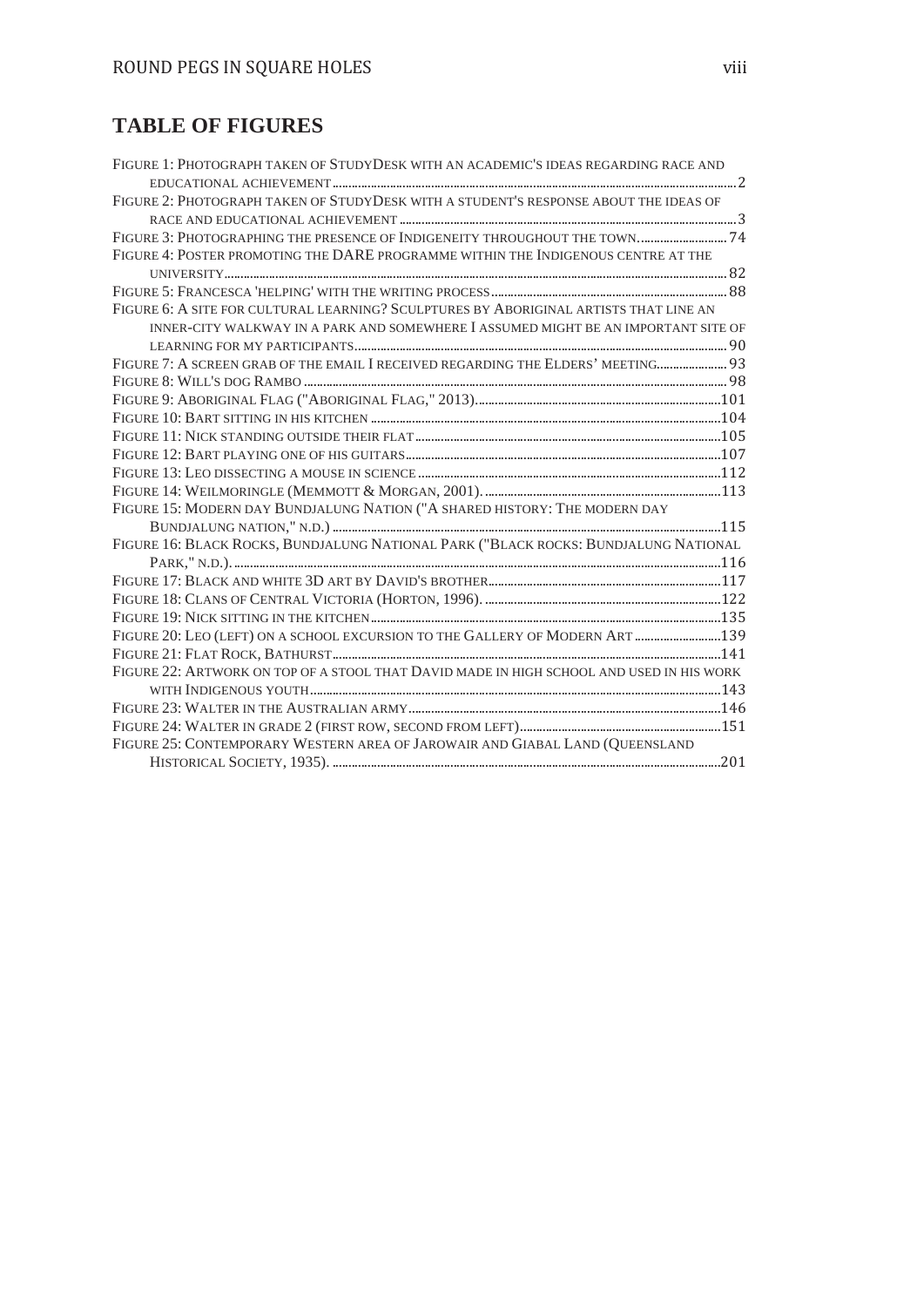## **TABLE OF FIGURES**

| FIGURE 1: PHOTOGRAPH TAKEN OF STUDYDESK WITH AN ACADEMIC'S IDEAS REGARDING RACE AND      |  |
|------------------------------------------------------------------------------------------|--|
|                                                                                          |  |
| FIGURE 2: PHOTOGRAPH TAKEN OF STUDYDESK WITH A STUDENT'S RESPONSE ABOUT THE IDEAS OF     |  |
|                                                                                          |  |
| FIGURE 3: PHOTOGRAPHING THE PRESENCE OF INDIGENEITY THROUGHOUT THE TOWN 74               |  |
| FIGURE 4: POSTER PROMOTING THE DARE PROGRAMME WITHIN THE INDIGENOUS CENTRE AT THE        |  |
|                                                                                          |  |
|                                                                                          |  |
| FIGURE 6: A SITE FOR CULTURAL LEARNING? SCULPTURES BY ABORIGINAL ARTISTS THAT LINE AN    |  |
| INNER-CITY WALKWAY IN A PARK AND SOMEWHERE I ASSUMED MIGHT BE AN IMPORTANT SITE OF       |  |
|                                                                                          |  |
| FIGURE 7: A SCREEN GRAB OF THE EMAIL I RECEIVED REGARDING THE ELDERS' MEETING 93         |  |
|                                                                                          |  |
|                                                                                          |  |
|                                                                                          |  |
|                                                                                          |  |
|                                                                                          |  |
|                                                                                          |  |
|                                                                                          |  |
| FIGURE 15: MODERN DAY BUNDJALUNG NATION ("A SHARED HISTORY: THE MODERN DAY               |  |
|                                                                                          |  |
| FIGURE 16: BLACK ROCKS, BUNDJALUNG NATIONAL PARK ("BLACK ROCKS: BUNDJALUNG NATIONAL      |  |
|                                                                                          |  |
|                                                                                          |  |
|                                                                                          |  |
|                                                                                          |  |
| FIGURE 20: LEO (LEFT) ON A SCHOOL EXCURSION TO THE GALLERY OF MODERN ART  139            |  |
|                                                                                          |  |
| FIGURE 22: ARTWORK ON TOP OF A STOOL THAT DAVID MADE IN HIGH SCHOOL AND USED IN HIS WORK |  |
|                                                                                          |  |
|                                                                                          |  |
|                                                                                          |  |
| FIGURE 25: CONTEMPORARY WESTERN AREA OF JAROWAIR AND GIABAL LAND (OUEENSLAND             |  |
|                                                                                          |  |